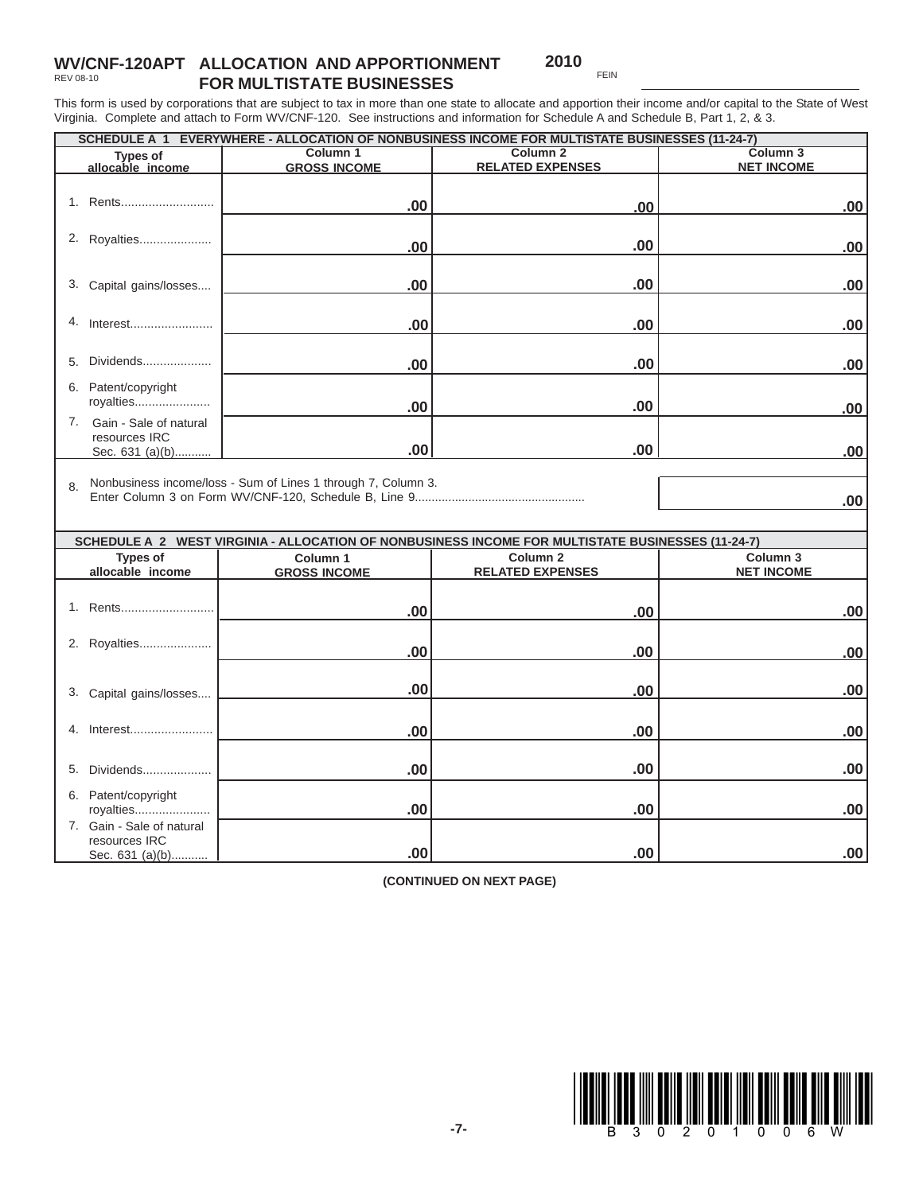## **WV/CNF-120APT ALLOCATION AND APPORTIONMENT FOR MULTISTATE BUSINESSES** REV 08-10

**2010** FEIN

This form is used by corporations that are subject to tax in more than one state to allocate and apportion their income and/or capital to the State of West Virginia. Complete and attach to Form WV/CNF-120. See instructions and information for Schedule A and Schedule B, Part 1, 2, & 3.

| SCHEDULE A 1 EVERYWHERE - ALLOCATION OF NONBUSINESS INCOME FOR MULTISTATE BUSINESSES (11-24-7) |                                                               |                                                                                                   |                   |  |
|------------------------------------------------------------------------------------------------|---------------------------------------------------------------|---------------------------------------------------------------------------------------------------|-------------------|--|
| <b>Types of</b>                                                                                | Column <sub>1</sub>                                           | Column <sub>2</sub>                                                                               | Column 3          |  |
| allocable income                                                                               | <b>GROSS INCOME</b>                                           | <b>RELATED EXPENSES</b>                                                                           | <b>NET INCOME</b> |  |
|                                                                                                |                                                               |                                                                                                   |                   |  |
| 1. Rents                                                                                       | .00                                                           | .00                                                                                               | .00.              |  |
|                                                                                                |                                                               |                                                                                                   |                   |  |
| 2. Royalties                                                                                   | .00                                                           | .00                                                                                               | .00               |  |
|                                                                                                |                                                               |                                                                                                   |                   |  |
| 3.<br>Capital gains/losses                                                                     | .00                                                           | .00                                                                                               | .00               |  |
|                                                                                                |                                                               |                                                                                                   |                   |  |
| 4.<br>Interest                                                                                 |                                                               |                                                                                                   |                   |  |
|                                                                                                | .00                                                           | .00                                                                                               | .00               |  |
|                                                                                                |                                                               |                                                                                                   |                   |  |
| Dividends<br>5.                                                                                | .00                                                           | .00                                                                                               | .00               |  |
| 6. Patent/copyright                                                                            |                                                               |                                                                                                   |                   |  |
| royalties                                                                                      | .00                                                           | .00                                                                                               | .00               |  |
| 7. Gain - Sale of natural                                                                      |                                                               |                                                                                                   |                   |  |
| resources IRC                                                                                  |                                                               |                                                                                                   |                   |  |
| Sec. 631 (a)(b)                                                                                | .00                                                           | .00                                                                                               | .00               |  |
|                                                                                                |                                                               |                                                                                                   |                   |  |
| 8.                                                                                             | Nonbusiness income/loss - Sum of Lines 1 through 7, Column 3. |                                                                                                   |                   |  |
|                                                                                                |                                                               |                                                                                                   | .00               |  |
|                                                                                                |                                                               |                                                                                                   |                   |  |
|                                                                                                |                                                               | SCHEDULE A 2 WEST VIRGINIA - ALLOCATION OF NONBUSINESS INCOME FOR MULTISTATE BUSINESSES (11-24-7) |                   |  |
| <b>Types of</b>                                                                                | Column <sub>1</sub>                                           | Column <sub>2</sub>                                                                               | Column 3          |  |
| allocable income                                                                               | <b>GROSS INCOME</b>                                           | <b>RELATED EXPENSES</b>                                                                           | <b>NET INCOME</b> |  |
|                                                                                                |                                                               |                                                                                                   |                   |  |
| 1. Rents                                                                                       | .00                                                           | .00                                                                                               | .00.              |  |
|                                                                                                |                                                               |                                                                                                   |                   |  |
| 2. Royalties                                                                                   | .00                                                           | .00                                                                                               | .00               |  |
|                                                                                                |                                                               |                                                                                                   |                   |  |
|                                                                                                | .00                                                           | .00                                                                                               | .00               |  |
| 3. Capital gains/losses                                                                        |                                                               |                                                                                                   |                   |  |
|                                                                                                |                                                               |                                                                                                   |                   |  |
| Interest<br>4.                                                                                 | .00                                                           | .00                                                                                               | .00               |  |
|                                                                                                |                                                               |                                                                                                   |                   |  |
| 5. Dividends                                                                                   | .00                                                           | .00                                                                                               | .00               |  |
| 6. Patent/copyright                                                                            |                                                               |                                                                                                   |                   |  |
| royalties                                                                                      | .00                                                           | .00                                                                                               | .00               |  |
| 7. Gain - Sale of natural                                                                      |                                                               |                                                                                                   |                   |  |
| resources IRC                                                                                  |                                                               |                                                                                                   |                   |  |
| Sec. 631 (a)(b)                                                                                | .00                                                           | .00                                                                                               | .00.              |  |

**(CONTINUED ON NEXT PAGE)**